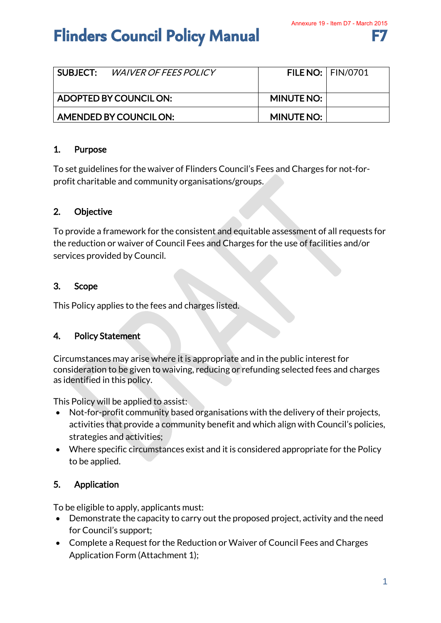# **Flinders Council Policy Manual**

| <b>SUBJECT:</b> WAIVER OF FEES POLICY |                   | <b>FILE NO:   FIN/0701</b> |
|---------------------------------------|-------------------|----------------------------|
| ADOPTED BY COUNCIL ON:                | <b>MINUTE NO:</b> |                            |
| AMENDED BY COUNCIL ON:                | <b>MINUTE NO:</b> |                            |

## 1. Purpose

To set guidelines for the waiver of Flinders Council's Fees and Charges for not-forprofit charitable and community organisations/groups.

# 2. Objective

To provide a framework for the consistent and equitable assessment of all requests for the reduction or waiver of Council Fees and Charges for the use of facilities and/or services provided by Council.

## 3. Scope

This Policy applies to the fees and charges listed.

#### 4. Policy Statement

Circumstances may arise where it is appropriate and in the public interest for consideration to be given to waiving, reducing or refunding selected fees and charges as identified in this policy.

This Policy will be applied to assist:

- Not-for-profit community based organisations with the delivery of their projects, activities that provide a community benefit and which align with Council's policies, strategies and activities;
- Where specific circumstances exist and it is considered appropriate for the Policy to be applied.

# 5. Application

To be eligible to apply, applicants must:

- Demonstrate the capacity to carry out the proposed project, activity and the need for Council's support;
- Complete a Request for the Reduction or Waiver of Council Fees and Charges Application Form (Attachment 1);